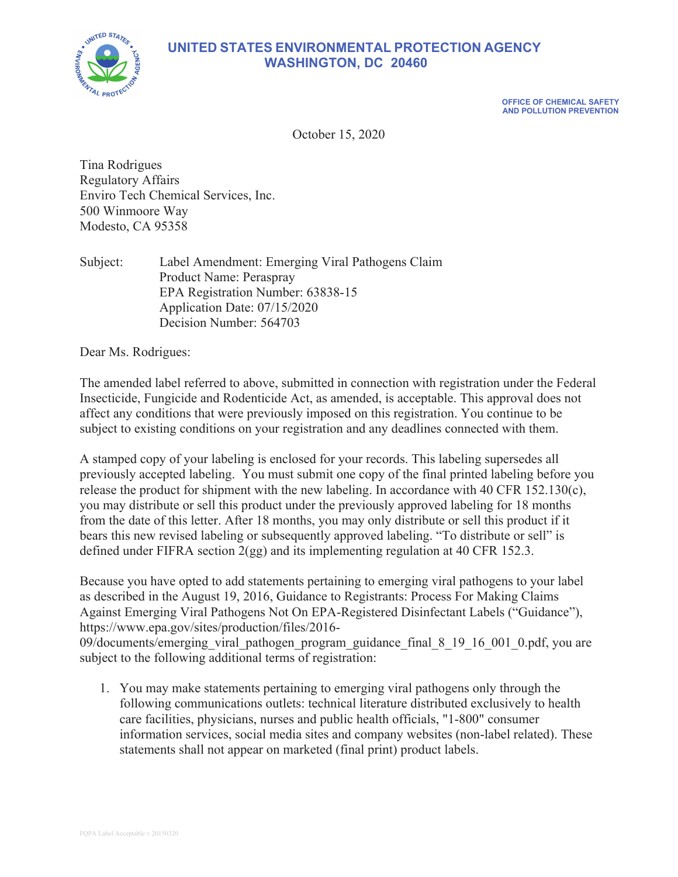

# **UNITED STATES ENVIRONMENTAL PROTECTION AGENCY WASHINGTON, DC 20460**

**OFFICE OF CHEMICAL SAFETY AND POLLUTION PREVENTION** 

October 15, 2020

Tina Rodrigues Regulatory Affairs Enviro Tech Chemical Services, Inc. 500 Winmoore Way Modesto, CA 95358

Subject: Label Amendment: Emerging Viral Pathogens Claim Product Name: Peraspray EPA Registration Number: 63838-15 Application Date: 07/15/2020 Decision Number: 564703

Dear Ms. Rodrigues:

The amended label referred to above, submitted in connection with registration under the Federal Insecticide, Fungicide and Rodenticide Act, as amended, is acceptable. This approval does not affect any conditions that were previously imposed on this registration. You continue to be subject to existing conditions on your registration and any deadlines connected with them.

A stamped copy of your labeling is enclosed for your records. This labeling supersedes all previously accepted labeling. You must submit one copy of the final printed labeling before you release the product for shipment with the new labeling. In accordance with 40 CFR 152.130(c), you may distribute or sell this product under the previously approved labeling for 18 months from the date of this letter. After 18 months, you may only distribute or sell this product if it bears this new revised labeling or subsequently approved labeling. "To distribute or sell" is defined under FIFRA section 2(gg) and its implementing regulation at 40 CFR 152.3.

Because you have opted to add statements pertaining to emerging viral pathogens to your label as described in the August 19, 2016, Guidance to Registrants: Process For Making Claims Against Emerging Viral Pathogens Not On EPA-Registered Disinfectant Labels ("Guidance"), https://www.epa.gov/sites/production/files/2016-

09/documents/emerging\_viral\_pathogen\_program\_guidance\_final\_8\_19\_16\_001\_0.pdf, you are subject to the following additional terms of registration:

1. You may make statements pertaining to emerging viral pathogens only through the following communications outlets: technical literature distributed exclusively to health care facilities, physicians, nurses and public health officials, "1-800" consumer information services, social media sites and company websites (non-label related). These statements shall not appear on marketed (final print) product labels.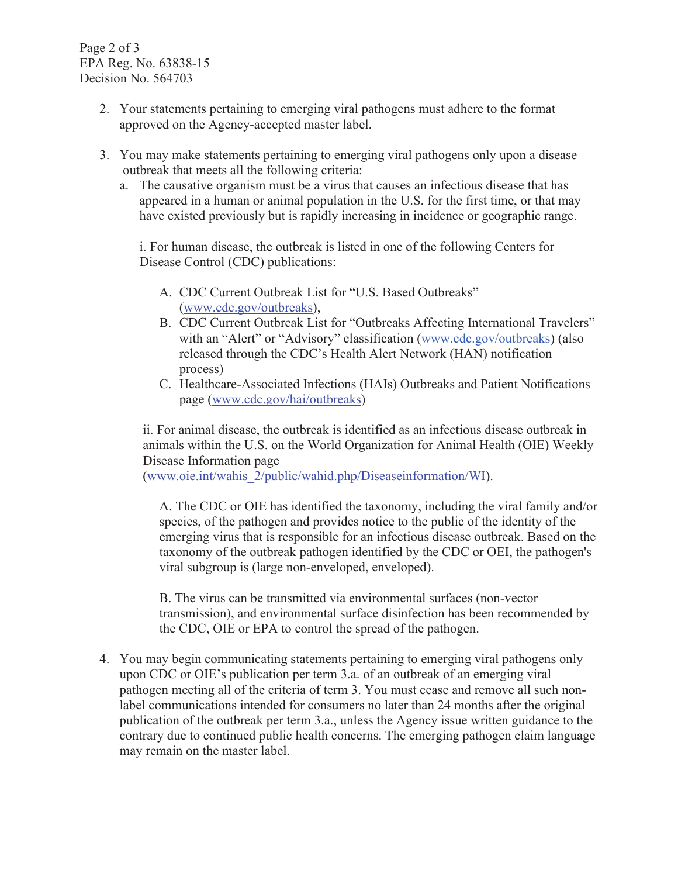Page 2 of 3 EPA Reg. No. 63838-15 Decision No. 564703

- 2. Your statements pertaining to emerging viral pathogens must adhere to the format approved on the Agency-accepted master label.
- 3. You may make statements pertaining to emerging viral pathogens only upon a disease outbreak that meets all the following criteria:
	- a. The causative organism must be a virus that causes an infectious disease that has appeared in a human or animal population in the U.S. for the first time, or that may have existed previously but is rapidly increasing in incidence or geographic range.

i. For human disease, the outbreak is listed in one of the following Centers for Disease Control (CDC) publications:

- A. CDC Current Outbreak List for "U.S. Based Outbreaks" (www.cdc.gov/outbreaks),
- B. CDC Current Outbreak List for "Outbreaks Affecting International Travelers" with an "Alert" or "Advisory" classification (www.cdc.gov/outbreaks) (also released through the CDC's Health Alert Network (HAN) notification process)
- C. Healthcare-Associated Infections (HAIs) Outbreaks and Patient Notifications page (www.cdc.gov/hai/outbreaks)

ii. For animal disease, the outbreak is identified as an infectious disease outbreak in animals within the U.S. on the World Organization for Animal Health (OIE) Weekly Disease Information page

(www.oie.int/wahis\_2/public/wahid.php/Diseaseinformation/WI).

A. The CDC or OIE has identified the taxonomy, including the viral family and/or species, of the pathogen and provides notice to the public of the identity of the emerging virus that is responsible for an infectious disease outbreak. Based on the taxonomy of the outbreak pathogen identified by the CDC or OEI, the pathogen's viral subgroup is (large non-enveloped, enveloped).

B. The virus can be transmitted via environmental surfaces (non-vector transmission), and environmental surface disinfection has been recommended by the CDC, OIE or EPA to control the spread of the pathogen.

4. You may begin communicating statements pertaining to emerging viral pathogens only upon CDC or OIE's publication per term 3.a. of an outbreak of an emerging viral pathogen meeting all of the criteria of term 3. You must cease and remove all such nonlabel communications intended for consumers no later than 24 months after the original publication of the outbreak per term 3.a., unless the Agency issue written guidance to the contrary due to continued public health concerns. The emerging pathogen claim language may remain on the master label.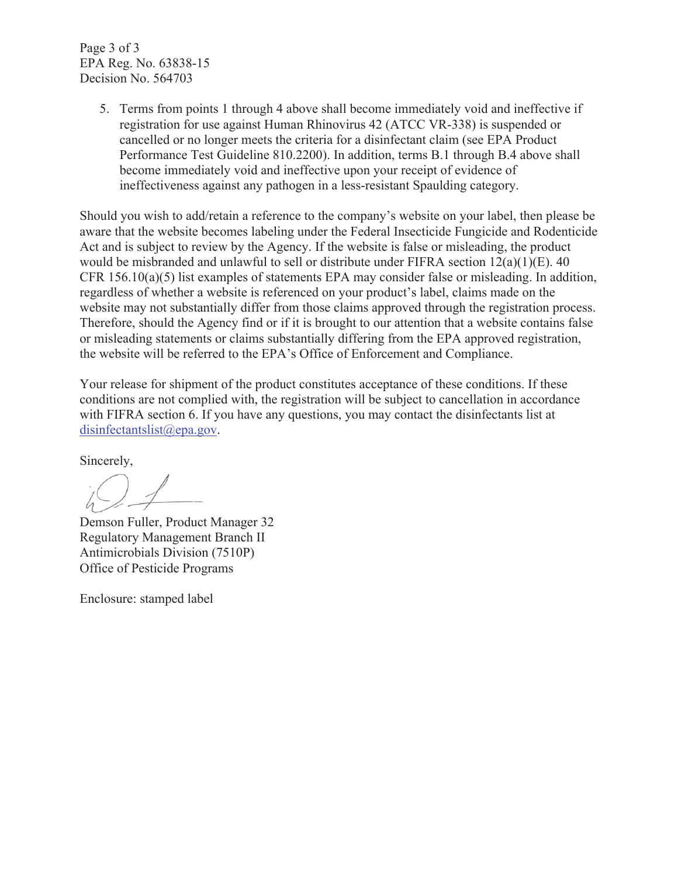Page 3 of 3 EPA Reg. No. 63838-15 Decision No. 564703

> 5. Terms from points 1 through 4 above shall become immediately void and ineffective if registration for use against Human Rhinovirus 42 (ATCC VR-338) is suspended or cancelled or no longer meets the criteria for a disinfectant claim (see EPA Product Performance Test Guideline 810.2200). In addition, terms B.1 through B.4 above shall become immediately void and ineffective upon your receipt of evidence of ineffectiveness against any pathogen in a less-resistant Spaulding category.

Should you wish to add/retain a reference to the company's website on your label, then please be aware that the website becomes labeling under the Federal Insecticide Fungicide and Rodenticide Act and is subject to review by the Agency. If the website is false or misleading, the product would be misbranded and unlawful to sell or distribute under FIFRA section 12(a)(1)(E). 40 CFR 156.10(a)(5) list examples of statements EPA may consider false or misleading. In addition, regardless of whether a website is referenced on your product's label, claims made on the website may not substantially differ from those claims approved through the registration process. Therefore, should the Agency find or if it is brought to our attention that a website contains false or misleading statements or claims substantially differing from the EPA approved registration, the website will be referred to the EPA's Office of Enforcement and Compliance.

Your release for shipment of the product constitutes acceptance of these conditions. If these conditions are not complied with, the registration will be subject to cancellation in accordance with FIFRA section 6. If you have any questions, you may contact the disinfectants list at disinfectantslist@epa.gov.

Sincerely,

Demson Fuller, Product Manager 32 Regulatory Management Branch II Antimicrobials Division (7510P) Office of Pesticide Programs

Enclosure: stamped label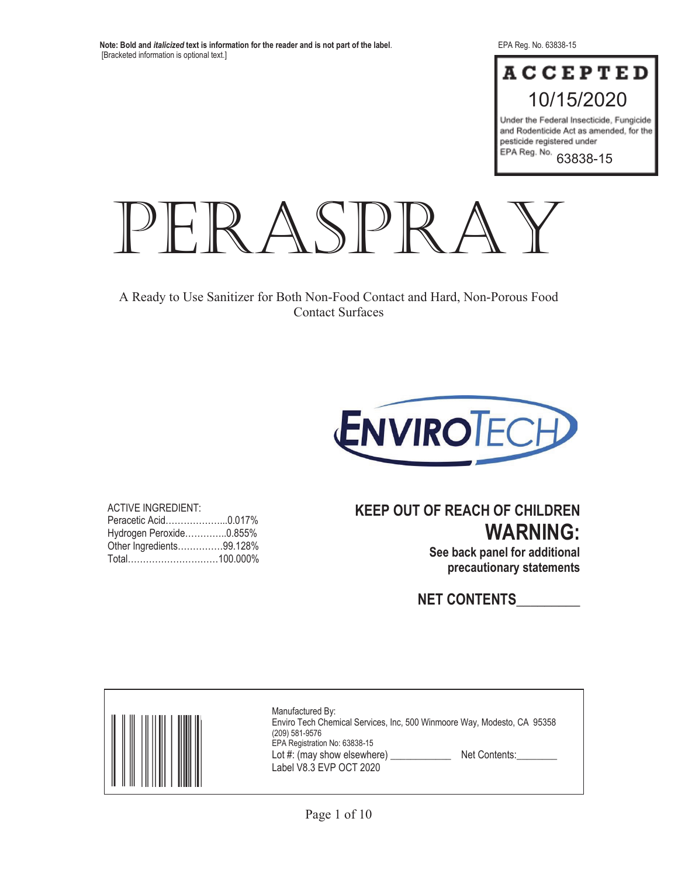# **ACCEPTED** 10/15/2020

Under the Federal Insecticide, Fungicide and Rodenticide Act as amended, for the pesticide registered under EPA Reg. No.

63838-15



A Ready to Use Sanitizer for Both Non-Food Contact and Hard, Non-Porous Food Contact Surfaces



ACTIVE INGREDIENT: Peracetic Acid………………...0.017% Hydrogen Peroxide…………..0.855% Other Ingredients……………99.128% Total…………………………100.000%

# **KEEP OUT OF REACH OF CHILDREN WARNING:**

**See back panel for additional precautionary statements** 

**NET CONTENTS\_\_\_\_\_\_\_\_\_** 

| Manufactured By:<br>Enviro Tech Chemical Services, Inc, 500 Winmoore Way, Modesto, CA 95358<br>(209) 581-9576<br>EPA Registration No: 63838-15<br>Lot #: (may show elsewhere)<br>Net Contents:<br>Label V8.3 EVP OCT 2020 |
|---------------------------------------------------------------------------------------------------------------------------------------------------------------------------------------------------------------------------|
|---------------------------------------------------------------------------------------------------------------------------------------------------------------------------------------------------------------------------|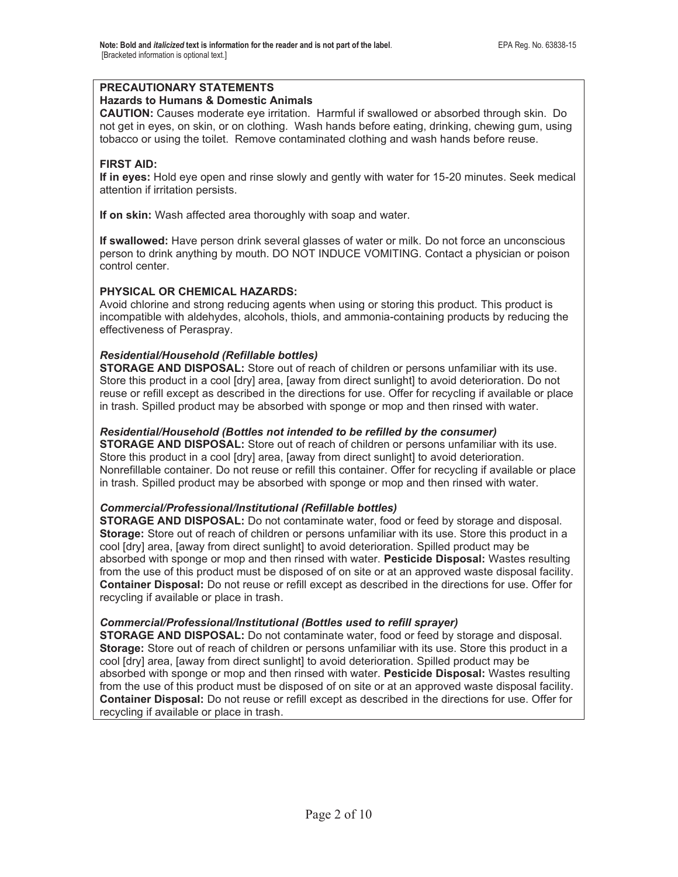# **PRECAUTIONARY STATEMENTS**

#### **Hazards to Humans & Domestic Animals**

**CAUTION:** Causes moderate eye irritation. Harmful if swallowed or absorbed through skin. Do not get in eyes, on skin, or on clothing. Wash hands before eating, drinking, chewing gum, using tobacco or using the toilet. Remove contaminated clothing and wash hands before reuse.

# **FIRST AID:**

**If in eyes:** Hold eye open and rinse slowly and gently with water for 15-20 minutes. Seek medical attention if irritation persists.

**If on skin:** Wash affected area thoroughly with soap and water.

**If swallowed:** Have person drink several glasses of water or milk. Do not force an unconscious person to drink anything by mouth. DO NOT INDUCE VOMITING. Contact a physician or poison control center.

# **PHYSICAL OR CHEMICAL HAZARDS:**

Avoid chlorine and strong reducing agents when using or storing this product. This product is incompatible with aldehydes, alcohols, thiols, and ammonia-containing products by reducing the effectiveness of Peraspray.

### *Residential/Household (Refillable bottles)*

**STORAGE AND DISPOSAL:** Store out of reach of children or persons unfamiliar with its use. Store this product in a cool [dry] area, [away from direct sunlight] to avoid deterioration. Do not reuse or refill except as described in the directions for use. Offer for recycling if available or place in trash. Spilled product may be absorbed with sponge or mop and then rinsed with water.

### *Residential/Household (Bottles not intended to be refilled by the consumer)*

**STORAGE AND DISPOSAL:** Store out of reach of children or persons unfamiliar with its use. Store this product in a cool [dry] area, [away from direct sunlight] to avoid deterioration. Nonrefillable container. Do not reuse or refill this container. Offer for recycling if available or place in trash. Spilled product may be absorbed with sponge or mop and then rinsed with water.

#### *Commercial/Professional/Institutional (Refillable bottles)*

**STORAGE AND DISPOSAL:** Do not contaminate water, food or feed by storage and disposal. **Storage:** Store out of reach of children or persons unfamiliar with its use. Store this product in a cool [dry] area, [away from direct sunlight] to avoid deterioration. Spilled product may be absorbed with sponge or mop and then rinsed with water. **Pesticide Disposal:** Wastes resulting from the use of this product must be disposed of on site or at an approved waste disposal facility. **Container Disposal:** Do not reuse or refill except as described in the directions for use. Offer for recycling if available or place in trash.

#### *Commercial/Professional/Institutional (Bottles used to refill sprayer)*

**STORAGE AND DISPOSAL:** Do not contaminate water, food or feed by storage and disposal. **Storage:** Store out of reach of children or persons unfamiliar with its use. Store this product in a cool [dry] area, [away from direct sunlight] to avoid deterioration. Spilled product may be absorbed with sponge or mop and then rinsed with water. **Pesticide Disposal:** Wastes resulting from the use of this product must be disposed of on site or at an approved waste disposal facility. **Container Disposal:** Do not reuse or refill except as described in the directions for use. Offer for recycling if available or place in trash.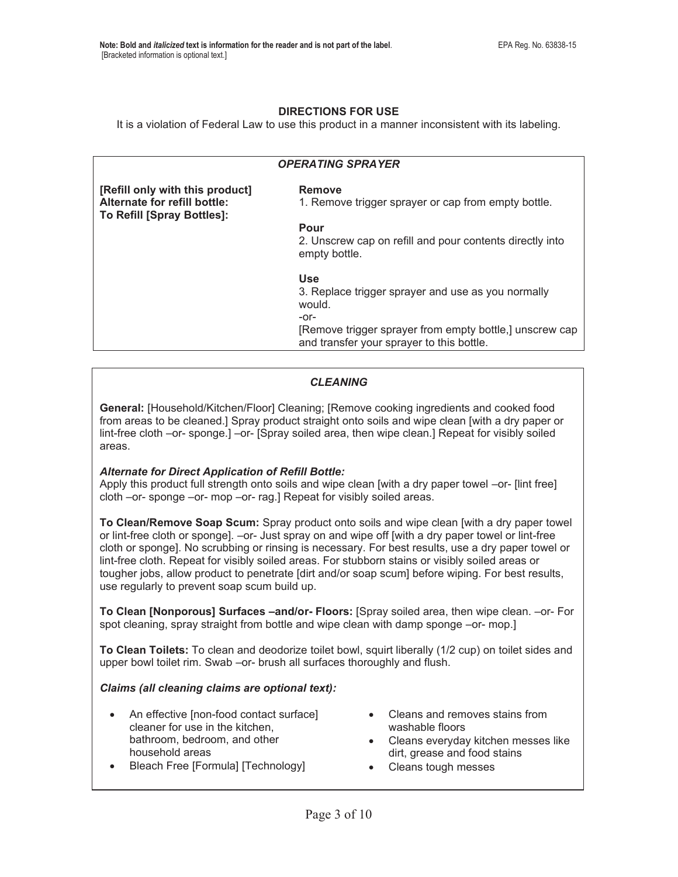### **DIRECTIONS FOR USE**

It is a violation of Federal Law to use this product in a manner inconsistent with its labeling.

| <b>OPERATING SPRAYER</b>                                   |                                                                                                      |  |
|------------------------------------------------------------|------------------------------------------------------------------------------------------------------|--|
|                                                            |                                                                                                      |  |
| [Refill only with this product]                            | Remove                                                                                               |  |
| Alternate for refill bottle:<br>To Refill [Spray Bottles]: | 1. Remove trigger sprayer or cap from empty bottle.                                                  |  |
|                                                            | Pour                                                                                                 |  |
|                                                            | 2. Unscrew cap on refill and pour contents directly into<br>empty bottle.                            |  |
|                                                            | <b>Use</b>                                                                                           |  |
|                                                            | 3. Replace trigger sprayer and use as you normally<br>would.                                         |  |
|                                                            | -or-                                                                                                 |  |
|                                                            | [Remove trigger sprayer from empty bottle,] unscrew cap<br>and transfer your sprayer to this bottle. |  |

# *CLEANING*

**General:** [Household/Kitchen/Floor] Cleaning; [Remove cooking ingredients and cooked food from areas to be cleaned.] Spray product straight onto soils and wipe clean [with a dry paper or lint-free cloth –or- sponge.] –or- [Spray soiled area, then wipe clean.] Repeat for visibly soiled areas.

#### *Alternate for Direct Application of Refill Bottle:*

Apply this product full strength onto soils and wipe clean [with a dry paper towel –or- [lint free] cloth –or- sponge –or- mop –or- rag.] Repeat for visibly soiled areas.

**To Clean/Remove Soap Scum:** Spray product onto soils and wipe clean [with a dry paper towel or lint-free cloth or sponge]. –or- Just spray on and wipe off [with a dry paper towel or lint-free cloth or sponge]. No scrubbing or rinsing is necessary. For best results, use a dry paper towel or lint-free cloth. Repeat for visibly soiled areas. For stubborn stains or visibly soiled areas or tougher jobs, allow product to penetrate [dirt and/or soap scum] before wiping. For best results, use regularly to prevent soap scum build up.

**To Clean [Nonporous] Surfaces –and/or- Floors:** [Spray soiled area, then wipe clean. –or- For spot cleaning, spray straight from bottle and wipe clean with damp sponge –or- mop.]

**To Clean Toilets:** To clean and deodorize toilet bowl, squirt liberally (1/2 cup) on toilet sides and upper bowl toilet rim. Swab –or- brush all surfaces thoroughly and flush.

#### *Claims (all cleaning claims are optional text):*

- An effective [non-food contact surface] cleaner for use in the kitchen, bathroom, bedroom, and other household areas
- Cleans and removes stains from washable floors
- Cleans everyday kitchen messes like dirt, grease and food stains
- Bleach Free [Formula] [Technology]
- Cleans tough messes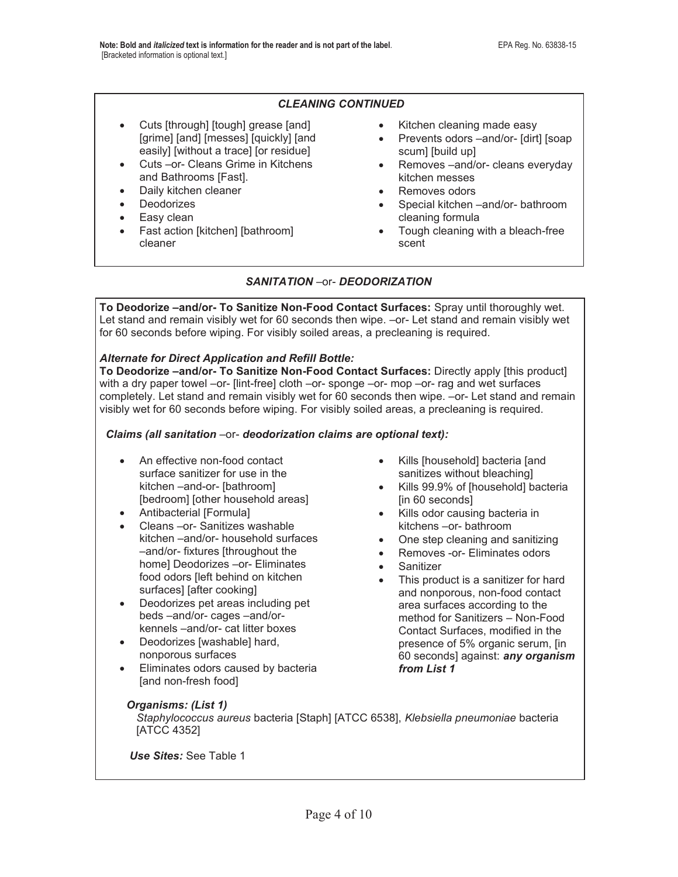## *CLEANING CONTINUED*

- Cuts [through] [tough] grease [and] [grime] [and] [messes] [quickly] [and easily] [without a trace] [or residue]
- Cuts –or- Cleans Grime in Kitchens and Bathrooms [Fast].
- Daily kitchen cleaner
- Deodorizes
- $\bullet$  Easy clean
- Fast action [kitchen] [bathroom] cleaner
- Kitchen cleaning made easy
- Prevents odors –and/or- [dirt] [soap scum] [build up]
- Removes –and/or- cleans everyday kitchen messes
- Removes odors
- Special kitchen –and/or- bathroom cleaning formula
- Tough cleaning with a bleach-free scent

### *SANITATION* –or- *DEODORIZATION*

**To Deodorize –and/or- To Sanitize Non-Food Contact Surfaces:** Spray until thoroughly wet. Let stand and remain visibly wet for 60 seconds then wipe. –or- Let stand and remain visibly wet for 60 seconds before wiping. For visibly soiled areas, a precleaning is required.

#### *Alternate for Direct Application and Refill Bottle:*

**To Deodorize –and/or- To Sanitize Non-Food Contact Surfaces:** Directly apply [this product] with a dry paper towel –or- [lint-free] cloth –or- sponge –or- mop –or- rag and wet surfaces completely. Let stand and remain visibly wet for 60 seconds then wipe. –or- Let stand and remain visibly wet for 60 seconds before wiping. For visibly soiled areas, a precleaning is required.

#### *Claims (all sanitation* –or- *deodorization claims are optional text):*

- An effective non-food contact surface sanitizer for use in the kitchen –and-or- [bathroom] [bedroom] [other household areas]
- Antibacterial [Formula]
- Cleans –or- Sanitizes washable kitchen –and/or- household surfaces –and/or- fixtures [throughout the home] Deodorizes –or- Eliminates food odors [left behind on kitchen surfaces] [after cooking]
- Deodorizes pet areas including pet beds –and/or- cages –and/orkennels –and/or- cat litter boxes
- Deodorizes [washable] hard, nonporous surfaces
- Eliminates odors caused by bacteria [and non-fresh food]
- Kills [household] bacteria [and sanitizes without bleaching]
- Kills 99.9% of [household] bacteria [in 60 seconds]
- Kills odor causing bacteria in kitchens –or- bathroom
- $\bullet$  One step cleaning and sanitizing
- Removes -or- Eliminates odors
- **Sanitizer**
- This product is a sanitizer for hard and nonporous, non-food contact area surfaces according to the method for Sanitizers – Non-Food Contact Surfaces, modified in the presence of 5% organic serum, [in 60 seconds] against: *any organism from List 1*

#### *Organisms: (List 1)*

*Staphylococcus aureus* bacteria [Staph] [ATCC 6538], *Klebsiella pneumoniae* bacteria [ATCC 4352]

*Use Sites:* See Table 1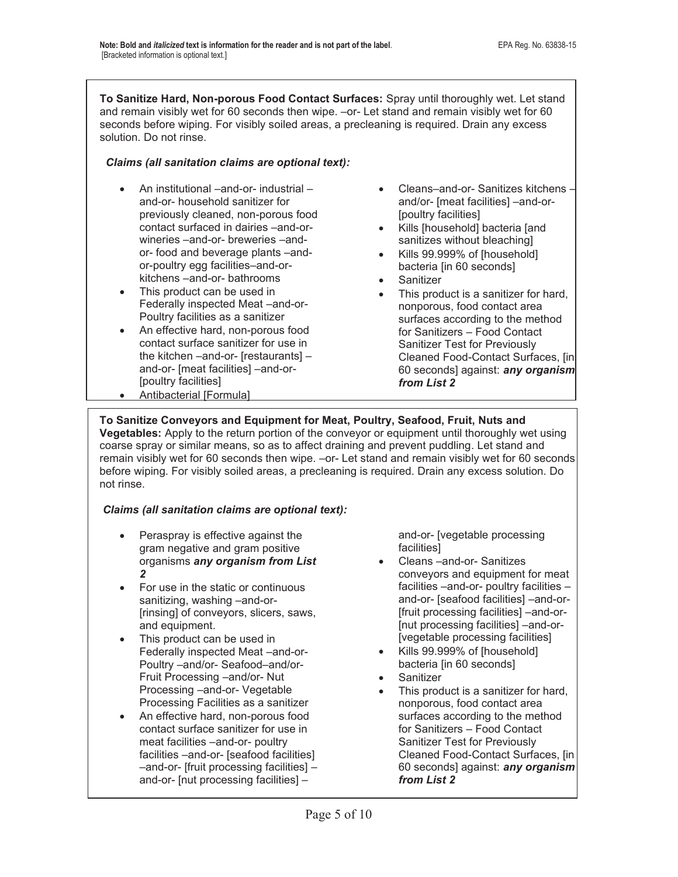**To Sanitize Hard, Non-porous Food Contact Surfaces:** Spray until thoroughly wet. Let stand and remain visibly wet for 60 seconds then wipe. –or- Let stand and remain visibly wet for 60 seconds before wiping. For visibly soiled areas, a precleaning is required. Drain any excess solution. Do not rinse.

# *Claims (all sanitation claims are optional text):*

- An institutional –and-or- industrial and-or- household sanitizer for previously cleaned, non-porous food contact surfaced in dairies –and-orwineries –and-or- breweries –andor- food and beverage plants –andor-poultry egg facilities–and-orkitchens –and-or- bathrooms
- This product can be used in Federally inspected Meat –and-or-Poultry facilities as a sanitizer
- An effective hard, non-porous food contact surface sanitizer for use in the kitchen –and-or- [restaurants] – and-or- [meat facilities] –and-or- [poultry facilities]
- Antibacterial [Formula]
- x Cleans–and-or- Sanitizes kitchens and/or- [meat facilities] –and-or- [poultry facilities]
- Kills [household] bacteria [and sanitizes without bleaching]
- Kills 99.999% of [household] bacteria [in 60 seconds]
- **Sanitizer**
- This product is a sanitizer for hard, nonporous, food contact area surfaces according to the method for Sanitizers – Food Contact Sanitizer Test for Previously Cleaned Food-Contact Surfaces, [in 60 seconds] against: *any organism from List 2*

# **To Sanitize Conveyors and Equipment for Meat, Poultry, Seafood, Fruit, Nuts and Vegetables:** Apply to the return portion of the conveyor or equipment until thoroughly wet using

coarse spray or similar means, so as to affect draining and prevent puddling. Let stand and remain visibly wet for 60 seconds then wipe. –or- Let stand and remain visibly wet for 60 seconds before wiping. For visibly soiled areas, a precleaning is required. Drain any excess solution. Do not rinse.

# *Claims (all sanitation claims are optional text):*

- Peraspray is effective against the gram negative and gram positive organisms *any organism from List 2*
- For use in the static or continuous sanitizing, washing –and-or- [rinsing] of conveyors, slicers, saws, and equipment.
- This product can be used in Federally inspected Meat –and-or-Poultry –and/or- Seafood–and/or-Fruit Processing –and/or- Nut Processing –and-or- Vegetable Processing Facilities as a sanitizer
- An effective hard, non-porous food contact surface sanitizer for use in meat facilities –and-or- poultry facilities –and-or- [seafood facilities] –and-or- [fruit processing facilities] – and-or- [nut processing facilities] –

and-or- [vegetable processing facilities]

- x Cleans –and-or- Sanitizes conveyors and equipment for meat facilities –and-or- poultry facilities – and-or- [seafood facilities] –and-or- [fruit processing facilities] –and-or- [nut processing facilities] –and-or- [vegetable processing facilities]
- Kills 99.999% of [household] bacteria [in 60 seconds]
- **Sanitizer**
- This product is a sanitizer for hard. nonporous, food contact area surfaces according to the method for Sanitizers – Food Contact Sanitizer Test for Previously Cleaned Food-Contact Surfaces, [in 60 seconds] against: *any organism from List 2*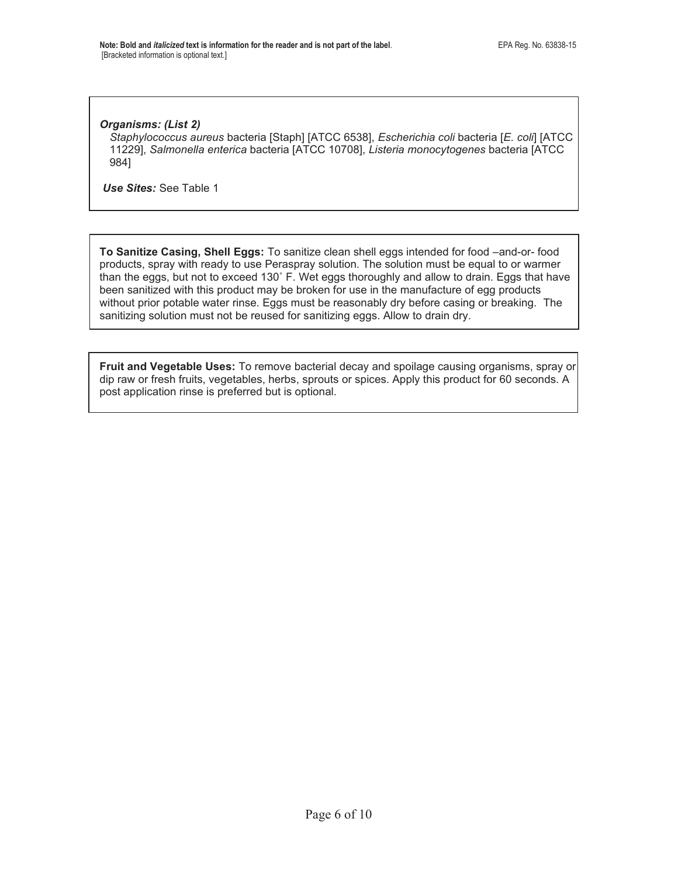#### *Organisms: (List 2)*

*Staphylococcus aureus* bacteria [Staph] [ATCC 6538], *Escherichia coli* bacteria [*E. coli*] [ATCC 11229], *Salmonella enterica* bacteria [ATCC 10708], *Listeria monocytogenes* bacteria [ATCC 984]

 *Use Sites:* See Table 1

**To Sanitize Casing, Shell Eggs:** To sanitize clean shell eggs intended for food –and-or- food products, spray with ready to use Peraspray solution. The solution must be equal to or warmer than the eggs, but not to exceed 130˚ F. Wet eggs thoroughly and allow to drain. Eggs that have been sanitized with this product may be broken for use in the manufacture of egg products without prior potable water rinse. Eggs must be reasonably dry before casing or breaking. The sanitizing solution must not be reused for sanitizing eggs. Allow to drain dry.

**Fruit and Vegetable Uses:** To remove bacterial decay and spoilage causing organisms, spray or dip raw or fresh fruits, vegetables, herbs, sprouts or spices. Apply this product for 60 seconds. A post application rinse is preferred but is optional.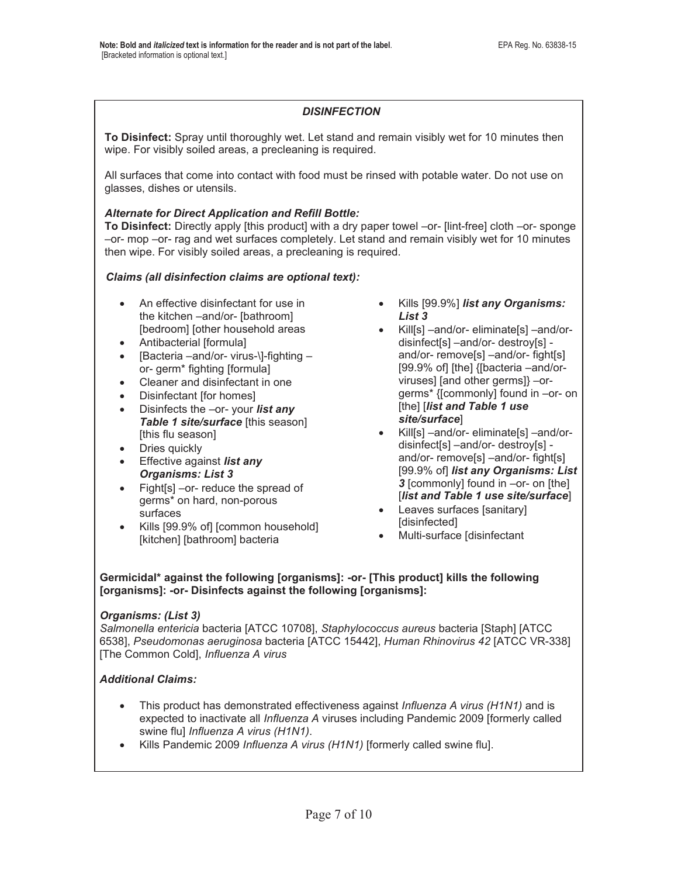# *DISINFECTION*

**To Disinfect:** Spray until thoroughly wet. Let stand and remain visibly wet for 10 minutes then wipe. For visibly soiled areas, a precleaning is required.

All surfaces that come into contact with food must be rinsed with potable water. Do not use on glasses, dishes or utensils.

## *Alternate for Direct Application and Refill Bottle:*

**To Disinfect:** Directly apply [this product] with a dry paper towel –or- [lint-free] cloth –or- sponge –or- mop –or- rag and wet surfaces completely. Let stand and remain visibly wet for 10 minutes then wipe. For visibly soiled areas, a precleaning is required.

# *Claims (all disinfection claims are optional text):*

- An effective disinfectant for use in the kitchen –and/or- [bathroom] [bedroom] [other household areas
- Antibacterial [formula]
- [Bacteria –and/or- virus-\]-fighting or- germ\* fighting [formula]
- Cleaner and disinfectant in one
- Disinfectant [for homes]
- **•** Disinfects the –or- your *list any Table 1 site/surface* [this season] [this flu season]
- Dries quickly
- **Effective against** *list any Organisms: List 3*
- $\bullet$  Fight[s] –or- reduce the spread of germs\* on hard, non-porous surfaces
- Kills [99.9% of] [common household] [kitchen] [bathroom] bacteria
- x Kills [99.9%] *list any Organisms: List 3*
- x Kill[s] –and/or- eliminate[s] –and/ordisinfect[s] –and/or- destroy[s] and/or- remove[s] –and/or- fight[s] [99.9% of] [the] {[bacteria –and/orviruses] [and other germs]} –orgerms\* {[commonly] found in –or- on [the] [*list and Table 1 use site/surface*]
- Kill[s] –and/or- eliminate[s] –and/ordisinfect[s] –and/or- destroy[s] and/or- remove[s] –and/or- fight[s] [99.9% of] *list any Organisms: List 3* [commonly] found in –or- on [the] [*list and Table 1 use site/surface*]
- Leaves surfaces [sanitary] [disinfected]
- Multi-surface [disinfectant

#### **Germicidal\* against the following [organisms]: -or- [This product] kills the following [organisms]: -or- Disinfects against the following [organisms]:**

#### *Organisms: (List 3)*

*Salmonella entericia* bacteria [ATCC 10708], *Staphylococcus aureus* bacteria [Staph] [ATCC 6538], *Pseudomonas aeruginosa* bacteria [ATCC 15442], *Human Rhinovirus 42* [ATCC VR-338] [The Common Cold], *Influenza A virus*

# *Additional Claims:*

- This product has demonstrated effectiveness against *Influenza A virus (H1N1)* and is expected to inactivate all *Influenza A* viruses including Pandemic 2009 [formerly called swine flu] *Influenza A virus (H1N1)*.
- x Kills Pandemic 2009 *Influenza A virus (H1N1)* [formerly called swine flu].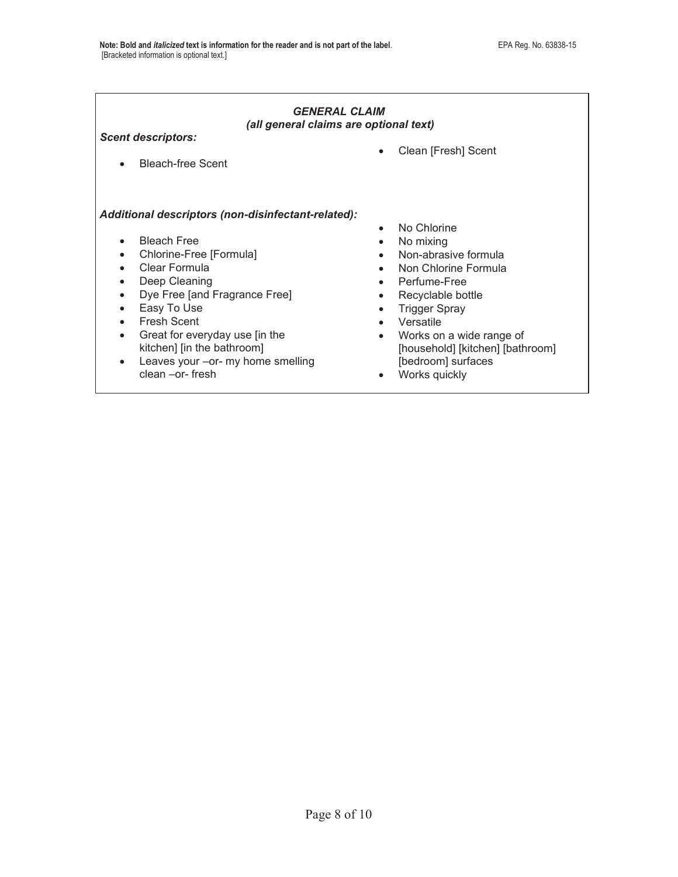#### *GENERAL CLAIM (all general claims are optional text)*

*Scent descriptors:* 

• Bleach-free Scent

#### *Additional descriptors (non-disinfectant-related):*

- Bleach Free
- Chlorine-Free [Formula]
- Clear Formula
- Deep Cleaning
- Dye Free [and Fragrance Free]
- Easy To Use
- Fresh Scent
- Great for everyday use [in the kitchen] [in the bathroom]
- $\bullet$  Leaves your –or- my home smelling clean –or- fresh

• Clean [Fresh] Scent

- No Chlorine
- $\bullet$  No mixing
- Non-abrasive formula
- Non Chlorine Formula
- Perfume-Free
- Recyclable bottle
- Trigger Spray
- Versatile
- Works on a wide range of [household] [kitchen] [bathroom] [bedroom] surfaces
- Works quickly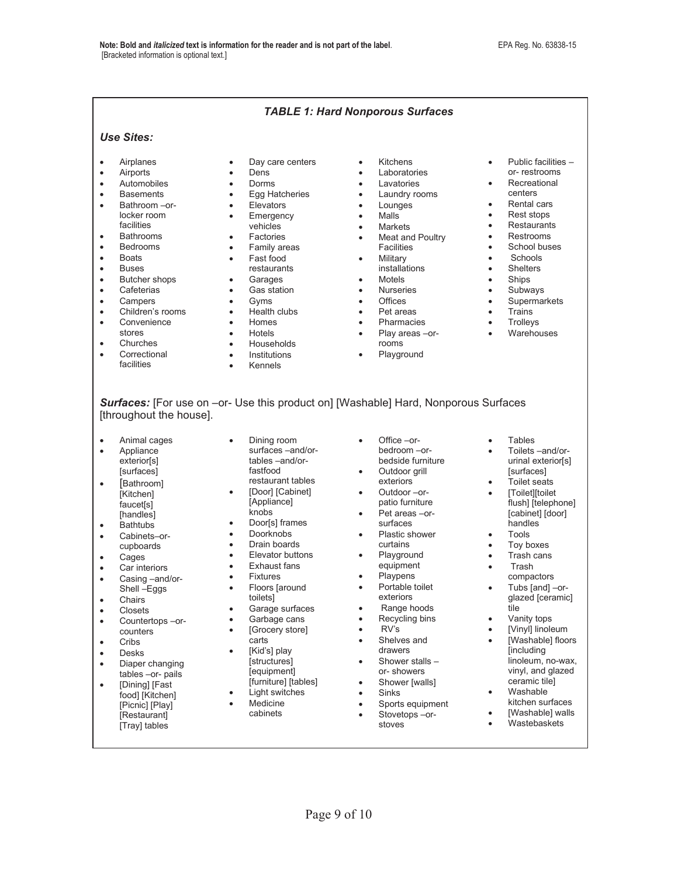#### *TABLE 1: Hard Nonporous Surfaces Use Sites:*  • Airplanes • Airports • Automobiles **•** Basements • Bathroom –orlocker room facilities • Bathrooms **•** Bedrooms • Boats • Buses • Butcher shops • Cafeterias • Campers • Children's rooms • Convenience stores • Churches • Correctional facilities • Day care centers • Dens • Dorms **Egg Hatcheries** • Elevators • Emergency vehicles Factories • Family areas • Fast food restaurants • Garages • Gas station Gyms  $\bullet$  Health clubs • Homes **Hotels** • Households • Institutions **Kennels** • Kitchens Laboratories Lavatories • Laundry rooms • Lounges • Malls • Markets • Meat and Poultry Facilities • Military installations  $M$ otels • Nurseries **Offices** • Pet areas Pharmacies Play areas -orrooms Playground Public facilities – or- restrooms **Recreational** centers Rental cars • Rest stops **Restaurants Restrooms**  $\bullet$  School buses • Schools • Shelters • Ships • Subways • Supermarkets • Trains • Trollevs • Warehouses

*Surfaces:* [For use on –or- Use this product on] [Washable] Hard, Nonporous Surfaces [throughout the house].

- Animal cages
- Appliance exterior[s] [surfaces]
- [Bathroom] [Kitchen] faucet[s] [handles]
- Bathtubs
- Cabinets–orcupboards
- Cages
- Car interiors
- Casing –and/or-Shell –Eggs
- Chairs
- **Closets**
- Countertops –orcounters
- $\bullet$  Cribs
- Desks
- Diaper changing tables –or- pails
- [Dining] [Fast food] [Kitchen] [Picnic] [Play] [Restaurant] [Tray] tables
- Dining room surfaces –and/or tables –and/or fastfood restaurant tables
- [Door] [Cabinet] [Appliance] knobs
- Door[s] frames
- Doorknobs
- Drain boards
- Elevator buttons
- Exhaust fans
- Fixtures
- Floors [around toilets]
- Garage surfaces
- Garbage cans
- $\bullet$  [Grocery store] carts
- [Kid's] play **[structures]**  [equipment] [furniture] [tables]
- Light switches
- Medicine cabinets
- $\bullet$  Office –or bedroom –or bedside furniture
- Outdoor grill exteriors Outdoor –or-
- patio furniture • Pet areas –or-
- surfaces Plastic shower
- curtains Playground
- equipment Playpens
- Portable toilet
- exteriors
- Range hoods
- Recycling bins
- $\bullet$  RV's
- Shelves and drawers
- Shower stalls  $$ or- showers
- Shower [walls]
- **Sinks**
- 
- Sports equipment  $\bullet$  Stovetops –or
	- stoves
- **Tables**
- Toilets –and/or urinal exterior[s] [surfaces]
- Toilet seats
- [Toilet][toilet flush] [telephone] [cabinet] [door]
- handles<sup>-</sup> **Tools**
- Toy boxes
- Trash cans
- **Trash**
- compactors Tubs [and] –or-
- glazed [ceramic] tile
- Vanity tops
- [Vinyl] linoleum [Washable] floors [including linoleum, no-wax, vinyl, and glazed ceramic tile]
- Washable
- kitchen surfaces
- [Washable] walls
- **Wastebaskets**